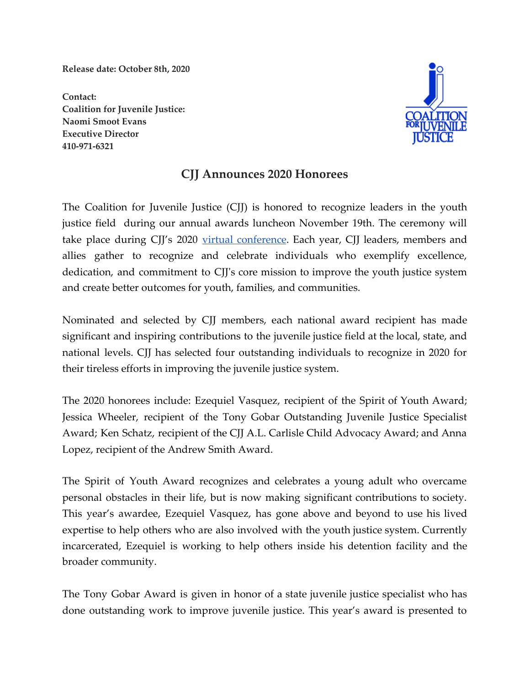**Release date: October 8th, 2020**

**Contact: Coalition for Juvenile Justice: Naomi Smoot Evans Executive Director 410-971-6321**



## **CJJ Announces 2020 Honorees**

The Coalition for Juvenile Justice (CJJ) is honored to recognize leaders in the youth justice field during our annual awards luncheon November 19th. The ceremony will take place during CJJ's 2020 virtual [conference](https://juvjustice.org/sites/default/files/ckfinder/files/Conference%20Agenda%209_21_20.pdf). Each year, CJJ leaders, members and allies gather to recognize and celebrate individuals who exemplify excellence, dedication, and commitment to CJJ's core mission to improve the youth justice system and create better outcomes for youth, families, and communities.

Nominated and selected by CJJ members, each national award recipient has made significant and inspiring contributions to the juvenile justice field at the local, state, and national levels. CJJ has selected four outstanding individuals to recognize in 2020 for their tireless efforts in improving the juvenile justice system.

The 2020 honorees include: Ezequiel Vasquez, recipient of the Spirit of Youth Award; Jessica Wheeler, recipient of the Tony Gobar Outstanding Juvenile Justice Specialist Award; Ken Schatz, recipient of the CJJ A.L. Carlisle Child Advocacy Award; and Anna Lopez, recipient of the Andrew Smith Award.

The Spirit of Youth [Award](https://www.juvjustice.org/sites/default/files/ckfinder/files/2019%20Spirit%20of%20Youth%20Nomination%20Form%20FINAL.pdf) recognizes and celebrates a young adult who overcame personal obstacles in their life, but is now making significant contributions to society. This year's awardee, Ezequiel Vasquez, has gone above and beyond to use his lived expertise to help others who are also involved with the youth justice system. Currently incarcerated, Ezequiel is working to help others inside his detention facility and the broader community.

The Tony Gobar [Award](https://www.juvjustice.org/sites/default/files/ckfinder/files/2019%20Tony%20Gobar%20Outstanding%20JJ%20Specialist%20Award%20Nomination%20Form%20FINAL.pdf) is given in honor of a state juvenile justice specialist who has done outstanding work to improve juvenile justice. This year's award is presented to